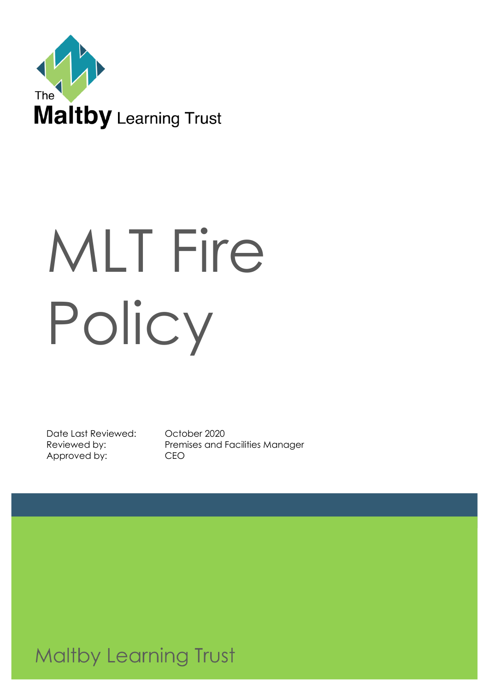

# MLT Fire Policy

Date Last Reviewed: October 2020 Approved by: CEO

Reviewed by: Premises and Facilities Manager

**Maltby Learning Trust**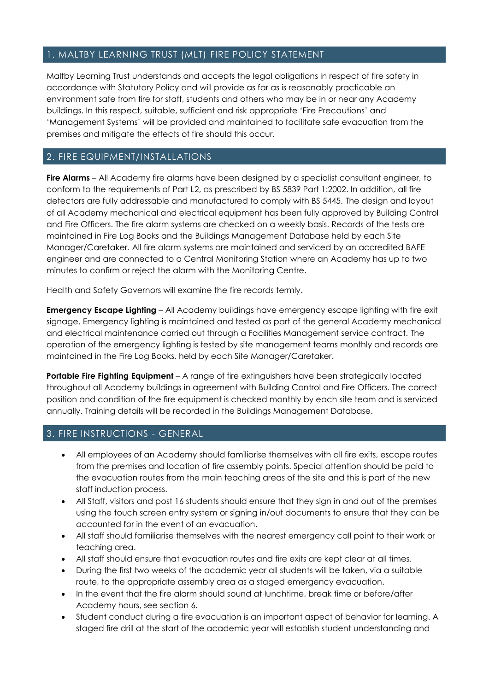## 1. MALTBY LEARNING TRUST (MLT) FIRE POLICY STATEMENT

Maltby Learning Trust understands and accepts the legal obligations in respect of fire safety in accordance with Statutory Policy and will provide as far as is reasonably practicable an environment safe from fire for staff, students and others who may be in or near any Academy buildings. In this respect, suitable, sufficient and risk appropriate 'Fire Precautions' and 'Management Systems' will be provided and maintained to facilitate safe evacuation from the premises and mitigate the effects of fire should this occur.

## 2. FIRE EQUIPMENT/INSTALLATIONS

**Fire Alarms** – All Academy fire alarms have been designed by a specialist consultant engineer, to conform to the requirements of Part L2, as prescribed by BS 5839 Part 1:2002. In addition, all fire detectors are fully addressable and manufactured to comply with BS 5445. The design and layout of all Academy mechanical and electrical equipment has been fully approved by Building Control and Fire Officers. The fire alarm systems are checked on a weekly basis. Records of the tests are maintained in Fire Log Books and the Buildings Management Database held by each Site Manager/Caretaker. All fire alarm systems are maintained and serviced by an accredited BAFE engineer and are connected to a Central Monitoring Station where an Academy has up to two minutes to confirm or reject the alarm with the Monitoring Centre.

Health and Safety Governors will examine the fire records termly.

**Emergency Escape Lighting** – All Academy buildings have emergency escape lighting with fire exit signage. Emergency lighting is maintained and tested as part of the general Academy mechanical and electrical maintenance carried out through a Facilities Management service contract. The operation of the emergency lighting is tested by site management teams monthly and records are maintained in the Fire Log Books, held by each Site Manager/Caretaker.

**Portable Fire Fighting Equipment** – A range of fire extinguishers have been strategically located throughout all Academy buildings in agreement with Building Control and Fire Officers. The correct position and condition of the fire equipment is checked monthly by each site team and is serviced annually. Training details will be recorded in the Buildings Management Database.

# 3. FIRE INSTRUCTIONS - GENERAL

- All employees of an Academy should familiarise themselves with all fire exits, escape routes from the premises and location of fire assembly points. Special attention should be paid to the evacuation routes from the main teaching areas of the site and this is part of the new staff induction process.
- All Staff, visitors and post 16 students should ensure that they sign in and out of the premises using the touch screen entry system or signing in/out documents to ensure that they can be accounted for in the event of an evacuation.
- All staff should familiarise themselves with the nearest emergency call point to their work or teaching area.
- All staff should ensure that evacuation routes and fire exits are kept clear at all times.
- During the first two weeks of the academic year all students will be taken, via a suitable route, to the appropriate assembly area as a staged emergency evacuation.
- In the event that the fire alarm should sound at lunchtime, break time or before/after Academy hours, see section 6.
- Student conduct during a fire evacuation is an important aspect of behavior for learning. A staged fire drill at the start of the academic year will establish student understanding and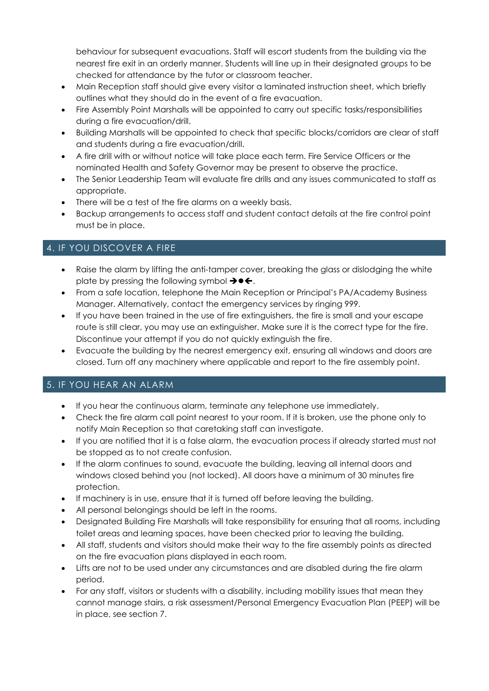behaviour for subsequent evacuations. Staff will escort students from the building via the nearest fire exit in an orderly manner. Students will line up in their designated groups to be checked for attendance by the tutor or classroom teacher.

- Main Reception staff should give every visitor a laminated instruction sheet, which briefly outlines what they should do in the event of a fire evacuation.
- Fire Assembly Point Marshalls will be appointed to carry out specific tasks/responsibilities during a fire evacuation/drill.
- Building Marshalls will be appointed to check that specific blocks/corridors are clear of staff and students during a fire evacuation/drill.
- A fire drill with or without notice will take place each term. Fire Service Officers or the nominated Health and Safety Governor may be present to observe the practice.
- The Senior Leadership Team will evaluate fire drills and any issues communicated to staff as appropriate.
- There will be a test of the fire alarms on a weekly basis.
- Backup arrangements to access staff and student contact details at the fire control point must be in place.

## 4. IF YOU DISCOVER A FIRE

- Raise the alarm by lifting the anti-tamper cover, breaking the glass or dislodging the white plate by pressing the following symbol  $\rightarrow \bullet \leftarrow$ .
- From a safe location, telephone the Main Reception or Principal's PA/Academy Business Manager. Alternatively, contact the emergency services by ringing 999.
- If you have been trained in the use of fire extinguishers, the fire is small and your escape route is still clear, you may use an extinguisher. Make sure it is the correct type for the fire. Discontinue your attempt if you do not quickly extinguish the fire.
- Evacuate the building by the nearest emergency exit, ensuring all windows and doors are closed. Turn off any machinery where applicable and report to the fire assembly point.

# 5. IF YOU HEAR AN ALARM

- If you hear the continuous alarm, terminate any telephone use immediately.
- Check the fire alarm call point nearest to your room. If it is broken, use the phone only to notify Main Reception so that caretaking staff can investigate.
- If you are notified that it is a false alarm, the evacuation process if already started must not be stopped as to not create confusion.
- If the alarm continues to sound, evacuate the building, leaving all internal doors and windows closed behind you (not locked). All doors have a minimum of 30 minutes fire protection.
- If machinery is in use, ensure that it is turned off before leaving the building.
- All personal belongings should be left in the rooms.
- Designated Building Fire Marshalls will take responsibility for ensuring that all rooms, including toilet areas and learning spaces, have been checked prior to leaving the building.
- All staff, students and visitors should make their way to the fire assembly points as directed on the fire evacuation plans displayed in each room.
- Lifts are not to be used under any circumstances and are disabled during the fire alarm period.
- For any staff, visitors or students with a disability, including mobility issues that mean they cannot manage stairs, a risk assessment/Personal Emergency Evacuation Plan (PEEP) will be in place, see section 7.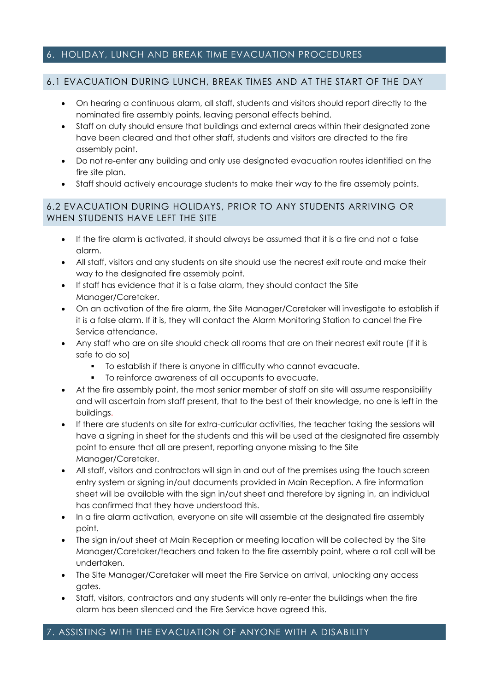#### 6. HOLIDAY, LUNCH AND BREAK TIME EVACUATION PROCEDURES

#### 6.1 EVACUATION DURING LUNCH, BREAK TIMES AND AT THE START OF THE DAY

- On hearing a continuous alarm, all staff, students and visitors should report directly to the nominated fire assembly points, leaving personal effects behind.
- Staff on duty should ensure that buildings and external areas within their designated zone have been cleared and that other staff, students and visitors are directed to the fire assembly point.
- Do not re-enter any building and only use designated evacuation routes identified on the fire site plan.
- Staff should actively encourage students to make their way to the fire assembly points.

#### 6.2 EVACUATION DURING HOLIDAYS, PRIOR TO ANY STUDENTS ARRIVING OR WHEN STUDENTS HAVE LEFT THE SITE

- If the fire alarm is activated, it should always be assumed that it is a fire and not a false alarm.
- All staff, visitors and any students on site should use the nearest exit route and make their way to the designated fire assembly point.
- If staff has evidence that it is a false alarm, they should contact the Site Manager/Caretaker.
- On an activation of the fire alarm, the Site Manager/Caretaker will investigate to establish if it is a false alarm. If it is, they will contact the Alarm Monitoring Station to cancel the Fire Service attendance.
- Any staff who are on site should check all rooms that are on their nearest exit route (if it is safe to do so)
	- To establish if there is anyone in difficulty who cannot evacuate.
	- To reinforce awareness of all occupants to evacuate.
- At the fire assembly point, the most senior member of staff on site will assume responsibility and will ascertain from staff present, that to the best of their knowledge, no one is left in the buildings.
- If there are students on site for extra-curricular activities, the teacher taking the sessions will have a signing in sheet for the students and this will be used at the designated fire assembly point to ensure that all are present, reporting anyone missing to the Site Manager/Caretaker.
- All staff, visitors and contractors will sign in and out of the premises using the touch screen entry system or signing in/out documents provided in Main Reception. A fire information sheet will be available with the sign in/out sheet and therefore by signing in, an individual has confirmed that they have understood this.
- In a fire alarm activation, everyone on site will assemble at the designated fire assembly point.
- The sign in/out sheet at Main Reception or meeting location will be collected by the Site Manager/Caretaker/teachers and taken to the fire assembly point, where a roll call will be undertaken.
- The Site Manager/Caretaker will meet the Fire Service on arrival, unlocking any access gates.
- Staff, visitors, contractors and any students will only re-enter the buildings when the fire alarm has been silenced and the Fire Service have agreed this.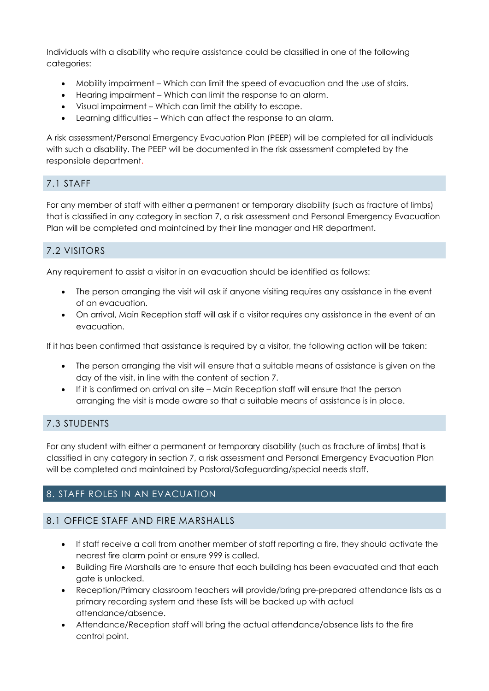Individuals with a disability who require assistance could be classified in one of the following categories:

- Mobility impairment Which can limit the speed of evacuation and the use of stairs.
- Hearing impairment Which can limit the response to an alarm.
- Visual impairment Which can limit the ability to escape.
- Learning difficulties Which can affect the response to an alarm.

A risk assessment/Personal Emergency Evacuation Plan (PEEP) will be completed for all individuals with such a disability. The PEEP will be documented in the risk assessment completed by the responsible department.

# 7.1 STAFF

For any member of staff with either a permanent or temporary disability (such as fracture of limbs) that is classified in any category in section 7, a risk assessment and Personal Emergency Evacuation Plan will be completed and maintained by their line manager and HR department.

# 7.2 VISITORS

Any requirement to assist a visitor in an evacuation should be identified as follows:

- The person arranging the visit will ask if anyone visiting requires any assistance in the event of an evacuation.
- On arrival, Main Reception staff will ask if a visitor requires any assistance in the event of an evacuation.

If it has been confirmed that assistance is required by a visitor, the following action will be taken:

- The person arranging the visit will ensure that a suitable means of assistance is given on the day of the visit, in line with the content of section 7.
- If it is confirmed on arrival on site Main Reception staff will ensure that the person arranging the visit is made aware so that a suitable means of assistance is in place.

# 7.3 STUDENTS

For any student with either a permanent or temporary disability (such as fracture of limbs) that is classified in any category in section 7, a risk assessment and Personal Emergency Evacuation Plan will be completed and maintained by Pastoral/Safeguarding/special needs staff.

# 8. STAFF ROLES IN AN EVACUATION

# 8.1 OFFICE STAFF AND FIRE MARSHALLS

- If staff receive a call from another member of staff reporting a fire, they should activate the nearest fire alarm point or ensure 999 is called.
- Building Fire Marshalls are to ensure that each building has been evacuated and that each gate is unlocked.
- Reception/Primary classroom teachers will provide/bring pre-prepared attendance lists as a primary recording system and these lists will be backed up with actual attendance/absence.
- Attendance/Reception staff will bring the actual attendance/absence lists to the fire control point.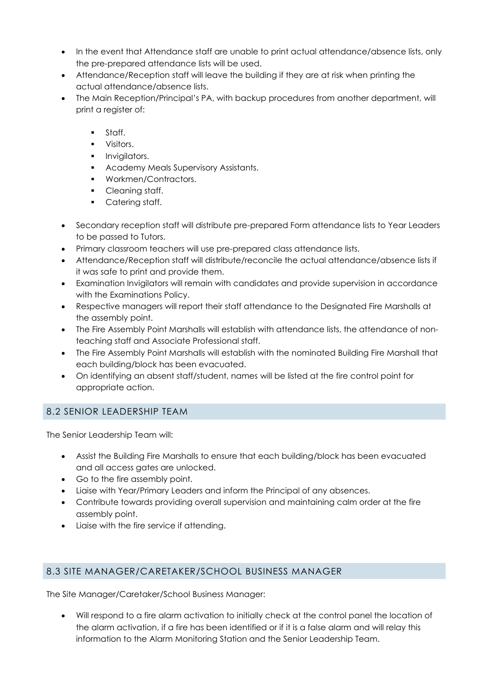- In the event that Attendance staff are unable to print actual attendance/absence lists, only the pre-prepared attendance lists will be used.
- Attendance/Reception staff will leave the building if they are at risk when printing the actual attendance/absence lists.
- The Main Reception/Principal's PA, with backup procedures from another department, will print a register of:
	- Staff.
	- Visitors.
	- **·** Invigilators.
	- Academy Meals Supervisory Assistants.
	- Workmen/Contractors.
	- Cleaning staff.
	- Catering staff.
- Secondary reception staff will distribute pre-prepared Form attendance lists to Year Leaders to be passed to Tutors.
- Primary classroom teachers will use pre-prepared class attendance lists.
- Attendance/Reception staff will distribute/reconcile the actual attendance/absence lists if it was safe to print and provide them.
- Examination Invigilators will remain with candidates and provide supervision in accordance with the Examinations Policy.
- Respective managers will report their staff attendance to the Designated Fire Marshalls at the assembly point.
- The Fire Assembly Point Marshalls will establish with attendance lists, the attendance of nonteaching staff and Associate Professional staff.
- The Fire Assembly Point Marshalls will establish with the nominated Building Fire Marshall that each building/block has been evacuated.
- On identifying an absent staff/student, names will be listed at the fire control point for appropriate action.

# 8.2 SENIOR LEADERSHIP TEAM

The Senior Leadership Team will:

- Assist the Building Fire Marshalls to ensure that each building/block has been evacuated and all access gates are unlocked.
- Go to the fire assembly point.
- Liaise with Year/Primary Leaders and inform the Principal of any absences.
- Contribute towards providing overall supervision and maintaining calm order at the fire assembly point.
- Liaise with the fire service if attending.

#### 8.3 SITE MANAGER/CARETAKER/SCHOOL BUSINESS MANAGER

The Site Manager/Caretaker/School Business Manager:

• Will respond to a fire alarm activation to initially check at the control panel the location of the alarm activation, if a fire has been identified or if it is a false alarm and will relay this information to the Alarm Monitoring Station and the Senior Leadership Team.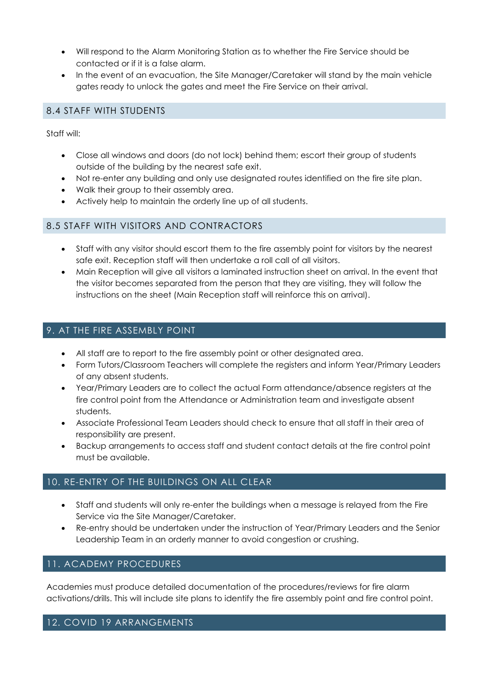- Will respond to the Alarm Monitoring Station as to whether the Fire Service should be contacted or if it is a false alarm.
- In the event of an evacuation, the Site Manager/Caretaker will stand by the main vehicle gates ready to unlock the gates and meet the Fire Service on their arrival.

## 8.4 STAFF WITH STUDENTS

Staff will:

- Close all windows and doors (do not lock) behind them; escort their group of students outside of the building by the nearest safe exit.
- Not re-enter any building and only use designated routes identified on the fire site plan.
- Walk their group to their assembly area.
- Actively help to maintain the orderly line up of all students.

#### 8.5 STAFF WITH VISITORS AND CONTRACTORS

- Staff with any visitor should escort them to the fire assembly point for visitors by the nearest safe exit. Reception staff will then undertake a roll call of all visitors.
- Main Reception will give all visitors a laminated instruction sheet on arrival. In the event that the visitor becomes separated from the person that they are visiting, they will follow the instructions on the sheet (Main Reception staff will reinforce this on arrival).

## 9. AT THE FIRE ASSEMBLY POINT

- All staff are to report to the fire assembly point or other designated area.
- Form Tutors/Classroom Teachers will complete the registers and inform Year/Primary Leaders of any absent students.
- Year/Primary Leaders are to collect the actual Form attendance/absence registers at the fire control point from the Attendance or Administration team and investigate absent students.
- Associate Professional Team Leaders should check to ensure that all staff in their area of responsibility are present.
- Backup arrangements to access staff and student contact details at the fire control point must be available.

#### 10. RE-ENTRY OF THE BUILDINGS ON ALL CLEAR

- Staff and students will only re-enter the buildings when a message is relayed from the Fire Service via the Site Manager/Caretaker.
- Re-entry should be undertaken under the instruction of Year/Primary Leaders and the Senior Leadership Team in an orderly manner to avoid congestion or crushing.

# 11. ACADEMY PROCEDURES

Academies must produce detailed documentation of the procedures/reviews for fire alarm activations/drills. This will include site plans to identify the fire assembly point and fire control point.

#### 12. COVID 19 ARRANGEMENTS